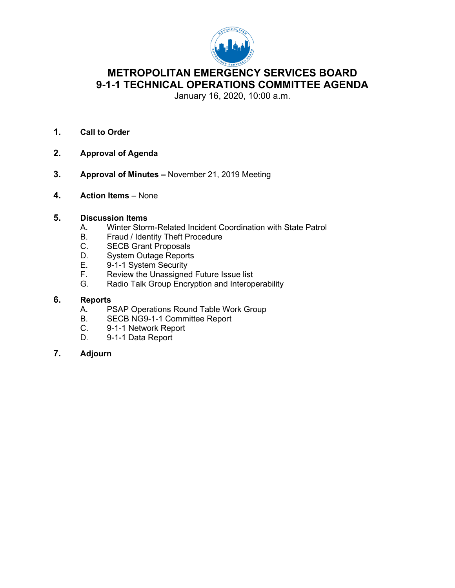

# **METROPOLITAN EMERGENCY SERVICES BOARD 9-1-1 TECHNICAL OPERATIONS COMMITTEE AGENDA**

January 16, 2020, 10:00 a.m.

- **1. Call to Order**
- **2. Approval of Agenda**
- **3. Approval of Minutes –** November 21, 2019 Meeting
- **4. Action Items** None

## **5. Discussion Items**

- A. Winter Storm-Related Incident Coordination with State Patrol<br>B. Fraud / Identity Theft Procedure
- B. Fraud / Identity Theft Procedure<br>C. SECB Grant Proposals
- C. SECB Grant Proposals<br>D. System Outage Reports
- System Outage Reports
- 
- E. 9-1-1 System Security<br>F. Review the Unassigned Review the Unassigned Future Issue list
- G. Radio Talk Group Encryption and Interoperability

## **6. Reports**

- A. PSAP Operations Round Table Work Group<br>B. SECB NG9-1-1 Committee Report
- B. SECB NG9-1-1 Committee Report<br>C. 9-1-1 Network Report
- 9-1-1 Network Report
- D. 9-1-1 Data Report
- **7. Adjourn**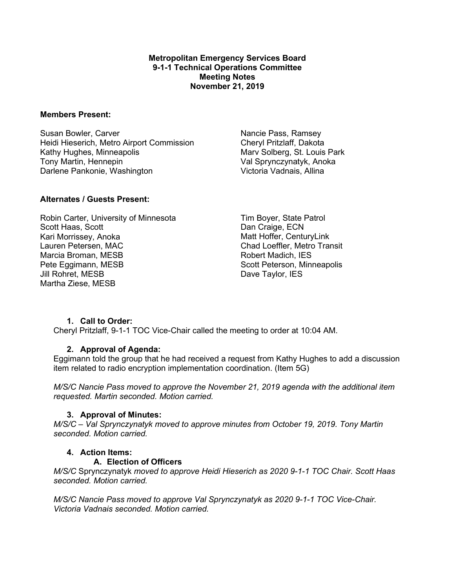#### **Metropolitan Emergency Services Board 9-1-1 Technical Operations Committee Meeting Notes November 21, 2019**

#### **Members Present:**

Susan Bowler, Carver Heidi Hieserich, Metro Airport Commission Kathy Hughes, Minneapolis Tony Martin, Hennepin Darlene Pankonie, Washington

Nancie Pass, Ramsey Cheryl Pritzlaff, Dakota Marv Solberg, St. Louis Park Val Sprynczynatyk, Anoka Victoria Vadnais, Allina

## **Alternates / Guests Present:**

Robin Carter, University of Minnesota Scott Haas, Scott Kari Morrissey, Anoka Lauren Petersen, MAC Marcia Broman, MESB Pete Eggimann, MESB Jill Rohret, MESB Martha Ziese, MESB

Tim Boyer, State Patrol Dan Craige, ECN Matt Hoffer, CenturyLink Chad Loeffler, Metro Transit Robert Madich, IES Scott Peterson, Minneapolis Dave Taylor, IES

## **1. Call to Order:**

Cheryl Pritzlaff, 9-1-1 TOC Vice-Chair called the meeting to order at 10:04 AM.

# **2. Approval of Agenda:**

Eggimann told the group that he had received a request from Kathy Hughes to add a discussion item related to radio encryption implementation coordination. (Item 5G)

*M/S/C Nancie Pass moved to approve the November 21, 2019 agenda with the additional item requested. Martin seconded. Motion carried.*

## **3. Approval of Minutes:**

*M/S/C – Val Sprynczynatyk moved to approve minutes from October 19, 2019. Tony Martin seconded. Motion carried.*

## **4. Action Items:**

## **A. Election of Officers**

*M/S/C* Sprynczynatyk *moved to approve Heidi Hieserich as 2020 9-1-1 TOC Chair. Scott Haas seconded. Motion carried.*

*M/S/C Nancie Pass moved to approve Val Sprynczynatyk as 2020 9-1-1 TOC Vice-Chair. Victoria Vadnais seconded. Motion carried.*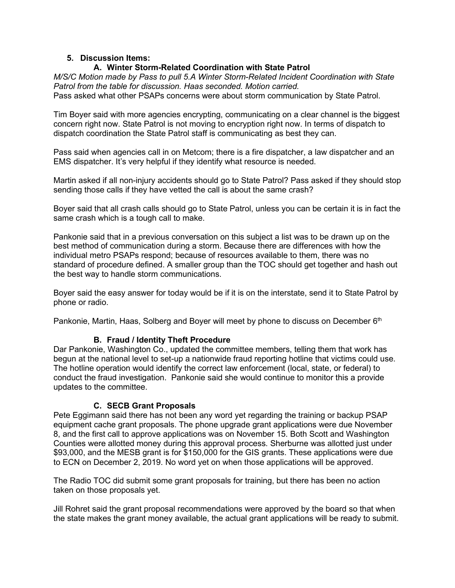## **5. Discussion Items:**

# **A. Winter Storm-Related Coordination with State Patrol**

*M/S/C Motion made by Pass to pull 5.A Winter Storm-Related Incident Coordination with State Patrol from the table for discussion. Haas seconded. Motion carried.* Pass asked what other PSAPs concerns were about storm communication by State Patrol.

Tim Boyer said with more agencies encrypting, communicating on a clear channel is the biggest concern right now. State Patrol is not moving to encryption right now. In terms of dispatch to dispatch coordination the State Patrol staff is communicating as best they can.

Pass said when agencies call in on Metcom; there is a fire dispatcher, a law dispatcher and an EMS dispatcher. It's very helpful if they identify what resource is needed.

Martin asked if all non-injury accidents should go to State Patrol? Pass asked if they should stop sending those calls if they have vetted the call is about the same crash?

Boyer said that all crash calls should go to State Patrol, unless you can be certain it is in fact the same crash which is a tough call to make.

Pankonie said that in a previous conversation on this subject a list was to be drawn up on the best method of communication during a storm. Because there are differences with how the individual metro PSAPs respond; because of resources available to them, there was no standard of procedure defined. A smaller group than the TOC should get together and hash out the best way to handle storm communications.

Boyer said the easy answer for today would be if it is on the interstate, send it to State Patrol by phone or radio.

Pankonie, Martin, Haas, Solberg and Boyer will meet by phone to discuss on December 6<sup>th</sup>

## **B. Fraud / Identity Theft Procedure**

Dar Pankonie, Washington Co., updated the committee members, telling them that work has begun at the national level to set-up a nationwide fraud reporting hotline that victims could use. The hotline operation would identify the correct law enforcement (local, state, or federal) to conduct the fraud investigation. Pankonie said she would continue to monitor this a provide updates to the committee.

## **C. SECB Grant Proposals**

Pete Eggimann said there has not been any word yet regarding the training or backup PSAP equipment cache grant proposals. The phone upgrade grant applications were due November 8, and the first call to approve applications was on November 15. Both Scott and Washington Counties were allotted money during this approval process. Sherburne was allotted just under \$93,000, and the MESB grant is for \$150,000 for the GIS grants. These applications were due to ECN on December 2, 2019. No word yet on when those applications will be approved.

The Radio TOC did submit some grant proposals for training, but there has been no action taken on those proposals yet.

Jill Rohret said the grant proposal recommendations were approved by the board so that when the state makes the grant money available, the actual grant applications will be ready to submit.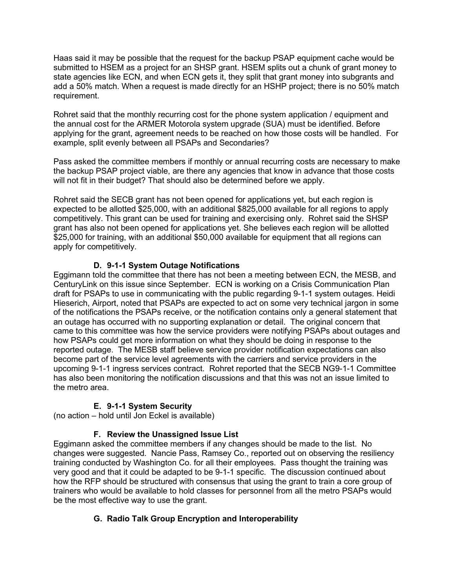Haas said it may be possible that the request for the backup PSAP equipment cache would be submitted to HSEM as a project for an SHSP grant. HSEM splits out a chunk of grant money to state agencies like ECN, and when ECN gets it, they split that grant money into subgrants and add a 50% match. When a request is made directly for an HSHP project; there is no 50% match requirement.

Rohret said that the monthly recurring cost for the phone system application / equipment and the annual cost for the ARMER Motorola system upgrade (SUA) must be identified. Before applying for the grant, agreement needs to be reached on how those costs will be handled. For example, split evenly between all PSAPs and Secondaries?

Pass asked the committee members if monthly or annual recurring costs are necessary to make the backup PSAP project viable, are there any agencies that know in advance that those costs will not fit in their budget? That should also be determined before we apply.

Rohret said the SECB grant has not been opened for applications yet, but each region is expected to be allotted \$25,000, with an additional \$825,000 available for all regions to apply competitively. This grant can be used for training and exercising only. Rohret said the SHSP grant has also not been opened for applications yet. She believes each region will be allotted \$25,000 for training, with an additional \$50,000 available for equipment that all regions can apply for competitively.

# **D. 9-1-1 System Outage Notifications**

Eggimann told the committee that there has not been a meeting between ECN, the MESB, and CenturyLink on this issue since September. ECN is working on a Crisis Communication Plan draft for PSAPs to use in communicating with the public regarding 9-1-1 system outages. Heidi Hieserich, Airport, noted that PSAPs are expected to act on some very technical jargon in some of the notifications the PSAPs receive, or the notification contains only a general statement that an outage has occurred with no supporting explanation or detail. The original concern that came to this committee was how the service providers were notifying PSAPs about outages and how PSAPs could get more information on what they should be doing in response to the reported outage. The MESB staff believe service provider notification expectations can also become part of the service level agreements with the carriers and service providers in the upcoming 9-1-1 ingress services contract. Rohret reported that the SECB NG9-1-1 Committee has also been monitoring the notification discussions and that this was not an issue limited to the metro area.

# **E. 9-1-1 System Security**

(no action – hold until Jon Eckel is available)

# **F. Review the Unassigned Issue List**

Eggimann asked the committee members if any changes should be made to the list. No changes were suggested. Nancie Pass, Ramsey Co., reported out on observing the resiliency training conducted by Washington Co. for all their employees. Pass thought the training was very good and that it could be adapted to be 9-1-1 specific. The discussion continued about how the RFP should be structured with consensus that using the grant to train a core group of trainers who would be available to hold classes for personnel from all the metro PSAPs would be the most effective way to use the grant.

# **G. Radio Talk Group Encryption and Interoperability**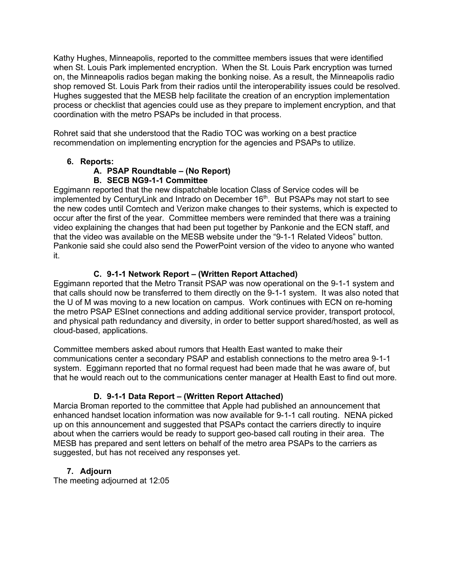Kathy Hughes, Minneapolis, reported to the committee members issues that were identified when St. Louis Park implemented encryption. When the St. Louis Park encryption was turned on, the Minneapolis radios began making the bonking noise. As a result, the Minneapolis radio shop removed St. Louis Park from their radios until the interoperability issues could be resolved. Hughes suggested that the MESB help facilitate the creation of an encryption implementation process or checklist that agencies could use as they prepare to implement encryption, and that coordination with the metro PSAPs be included in that process.

Rohret said that she understood that the Radio TOC was working on a best practice recommendation on implementing encryption for the agencies and PSAPs to utilize.

# **6. Reports:**

# **A. PSAP Roundtable – (No Report)**

# **B. SECB NG9-1-1 Committee**

Eggimann reported that the new dispatchable location Class of Service codes will be implemented by CenturyLink and Intrado on December 16<sup>th</sup>. But PSAPs may not start to see the new codes until Comtech and Verizon make changes to their systems, which is expected to occur after the first of the year. Committee members were reminded that there was a training video explaining the changes that had been put together by Pankonie and the ECN staff, and that the video was available on the MESB website under the "9-1-1 Related Videos" button. Pankonie said she could also send the PowerPoint version of the video to anyone who wanted it.

# **C. 9-1-1 Network Report – (Written Report Attached)**

Eggimann reported that the Metro Transit PSAP was now operational on the 9-1-1 system and that calls should now be transferred to them directly on the 9-1-1 system. It was also noted that the U of M was moving to a new location on campus. Work continues with ECN on re-homing the metro PSAP ESInet connections and adding additional service provider, transport protocol, and physical path redundancy and diversity, in order to better support shared/hosted, as well as cloud-based, applications.

Committee members asked about rumors that Health East wanted to make their communications center a secondary PSAP and establish connections to the metro area 9-1-1 system. Eggimann reported that no formal request had been made that he was aware of, but that he would reach out to the communications center manager at Health East to find out more.

# **D. 9-1-1 Data Report – (Written Report Attached)**

Marcia Broman reported to the committee that Apple had published an announcement that enhanced handset location information was now available for 9-1-1 call routing. NENA picked up on this announcement and suggested that PSAPs contact the carriers directly to inquire about when the carriers would be ready to support geo-based call routing in their area. The MESB has prepared and sent letters on behalf of the metro area PSAPs to the carriers as suggested, but has not received any responses yet.

# **7. Adjourn**

The meeting adjourned at 12:05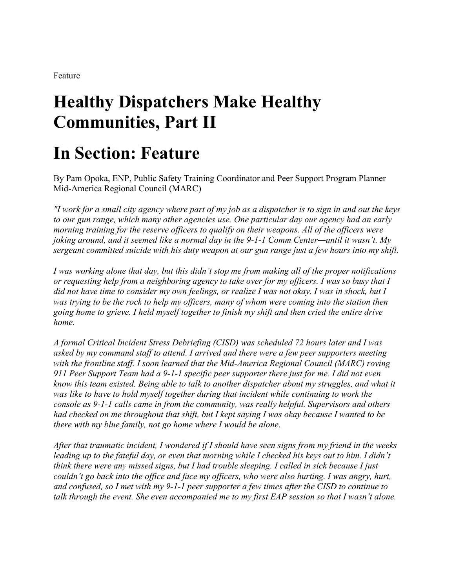Feature

# **Healthy Dispatchers Make Healthy Communities, Part II**

# **In Section: Feature**

By Pam Opoka, ENP, Public Safety Training Coordinator and Peer Support Program Planner Mid-America Regional Council (MARC)

*"I work for a small city agency where part of my job as a dispatcher is to sign in and out the keys to our gun range, which many other agencies use. One particular day our agency had an early morning training for the reserve officers to qualify on their weapons. All of the officers were joking around, and it seemed like a normal day in the 9-1-1 Comm Center—until it wasn't. My sergeant committed suicide with his duty weapon at our gun range just a few hours into my shift.*

*I was working alone that day, but this didn't stop me from making all of the proper notifications or requesting help from a neighboring agency to take over for my officers. I was so busy that I did not have time to consider my own feelings, or realize I was not okay. I was in shock, but I was trying to be the rock to help my officers, many of whom were coming into the station then going home to grieve. I held myself together to finish my shift and then cried the entire drive home.*

*A formal Critical Incident Stress Debriefing (CISD) was scheduled 72 hours later and I was asked by my command staff to attend. I arrived and there were a few peer supporters meeting with the frontline staff. I soon learned that the Mid-America Regional Council (MARC) roving 911 Peer Support Team had a 9-1-1 specific peer supporter there just for me. I did not even know this team existed. Being able to talk to another dispatcher about my struggles, and what it was like to have to hold myself together during that incident while continuing to work the console as 9-1-1 calls came in from the community, was really helpful. Supervisors and others had checked on me throughout that shift, but I kept saying I was okay because I wanted to be there with my blue family, not go home where I would be alone.*

*After that traumatic incident, I wondered if I should have seen signs from my friend in the weeks leading up to the fateful day, or even that morning while I checked his keys out to him. I didn't think there were any missed signs, but I had trouble sleeping. I called in sick because I just couldn't go back into the office and face my officers, who were also hurting. I was angry, hurt, and confused, so I met with my 9-1-1 peer supporter a few times after the CISD to continue to talk through the event. She even accompanied me to my first EAP session so that I wasn't alone.*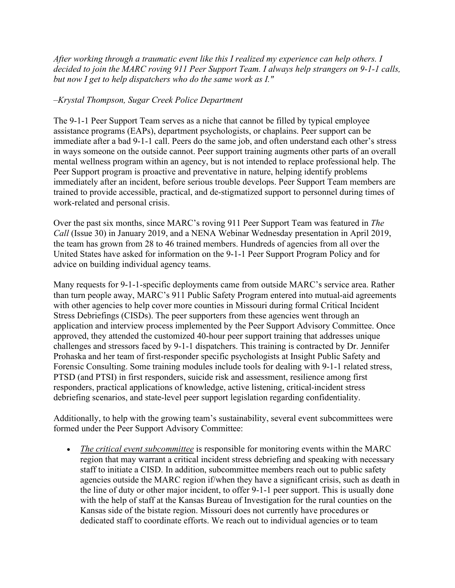*After working through a traumatic event like this I realized my experience can help others. I decided to join the MARC roving 911 Peer Support Team. I always help strangers on 9-1-1 calls, but now I get to help dispatchers who do the same work as I."*

# *–Krystal Thompson, Sugar Creek Police Department*

The 9-1-1 Peer Support Team serves as a niche that cannot be filled by typical employee assistance programs (EAPs), department psychologists, or chaplains. Peer support can be immediate after a bad 9-1-1 call. Peers do the same job, and often understand each other's stress in ways someone on the outside cannot. Peer support training augments other parts of an overall mental wellness program within an agency, but is not intended to replace professional help. The Peer Support program is proactive and preventative in nature, helping identify problems immediately after an incident, before serious trouble develops. Peer Support Team members are trained to provide accessible, practical, and de-stigmatized support to personnel during times of work-related and personal crisis.

Over the past six months, since MARC's roving 911 Peer Support Team was featured in *The Call* (Issue 30) in January 2019, and a NENA Webinar Wednesday presentation in April 2019, the team has grown from 28 to 46 trained members. Hundreds of agencies from all over the United States have asked for information on the 9-1-1 Peer Support Program Policy and for advice on building individual agency teams.

Many requests for 9-1-1-specific deployments came from outside MARC's service area. Rather than turn people away, MARC's 911 Public Safety Program entered into mutual-aid agreements with other agencies to help cover more counties in Missouri during formal Critical Incident Stress Debriefings (CISDs). The peer supporters from these agencies went through an application and interview process implemented by the Peer Support Advisory Committee. Once approved, they attended the customized 40-hour peer support training that addresses unique challenges and stressors faced by 9-1-1 dispatchers. This training is contracted by Dr. Jennifer Prohaska and her team of first-responder specific psychologists at Insight Public Safety and Forensic Consulting. Some training modules include tools for dealing with 9-1-1 related stress, PTSD (and PTSI) in first responders, suicide risk and assessment, resilience among first responders, practical applications of knowledge, active listening, critical-incident stress debriefing scenarios, and state-level peer support legislation regarding confidentiality.

Additionally, to help with the growing team's sustainability, several event subcommittees were formed under the Peer Support Advisory Committee:

• *The critical event subcommittee* is responsible for monitoring events within the MARC region that may warrant a critical incident stress debriefing and speaking with necessary staff to initiate a CISD. In addition, subcommittee members reach out to public safety agencies outside the MARC region if/when they have a significant crisis, such as death in the line of duty or other major incident, to offer 9-1-1 peer support. This is usually done with the help of staff at the Kansas Bureau of Investigation for the rural counties on the Kansas side of the bistate region. Missouri does not currently have procedures or dedicated staff to coordinate efforts. We reach out to individual agencies or to team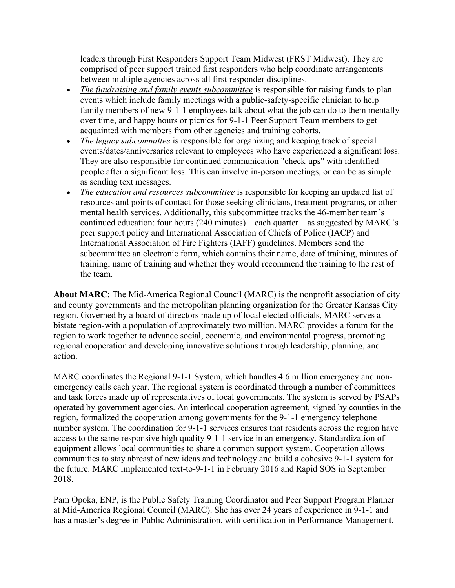leaders through First Responders Support Team Midwest (FRST Midwest). They are comprised of peer support trained first responders who help coordinate arrangements between multiple agencies across all first responder disciplines.

- *The fundraising and family events subcommittee* is responsible for raising funds to plan events which include family meetings with a public-safety-specific clinician to help family members of new 9-1-1 employees talk about what the job can do to them mentally over time, and happy hours or picnics for 9-1-1 Peer Support Team members to get acquainted with members from other agencies and training cohorts.
- *The legacy subcommittee* is responsible for organizing and keeping track of special events/dates/anniversaries relevant to employees who have experienced a significant loss. They are also responsible for continued communication "check-ups" with identified people after a significant loss. This can involve in-person meetings, or can be as simple as sending text messages.
- *The education and resources subcommittee* is responsible for keeping an updated list of resources and points of contact for those seeking clinicians, treatment programs, or other mental health services. Additionally, this subcommittee tracks the 46-member team's continued education: four hours (240 minutes)—each quarter—as suggested by MARC's peer support policy and International Association of Chiefs of Police (IACP) and International Association of Fire Fighters (IAFF) guidelines. Members send the subcommittee an electronic form, which contains their name, date of training, minutes of training, name of training and whether they would recommend the training to the rest of the team.

**About MARC:** The Mid-America Regional Council (MARC) is the nonprofit association of city and county governments and the metropolitan planning organization for the Greater Kansas City region. Governed by a board of directors made up of local elected officials, MARC serves a bistate region-with a population of approximately two million. MARC provides a forum for the region to work together to advance social, economic, and environmental progress, promoting regional cooperation and developing innovative solutions through leadership, planning, and action.

MARC coordinates the Regional 9-1-1 System, which handles 4.6 million emergency and nonemergency calls each year. The regional system is coordinated through a number of committees and task forces made up of representatives of local governments. The system is served by PSAPs operated by government agencies. An interlocal cooperation agreement, signed by counties in the region, formalized the cooperation among governments for the 9-1-1 emergency telephone number system. The coordination for 9-1-1 services ensures that residents across the region have access to the same responsive high quality 9-1-1 service in an emergency. Standardization of equipment allows local communities to share a common support system. Cooperation allows communities to stay abreast of new ideas and technology and build a cohesive 9-1-1 system for the future. MARC implemented text-to-9-1-1 in February 2016 and Rapid SOS in September 2018.

Pam Opoka, ENP, is the Public Safety Training Coordinator and Peer Support Program Planner at Mid-America Regional Council (MARC). She has over 24 years of experience in 9-1-1 and has a master's degree in Public Administration, with certification in Performance Management,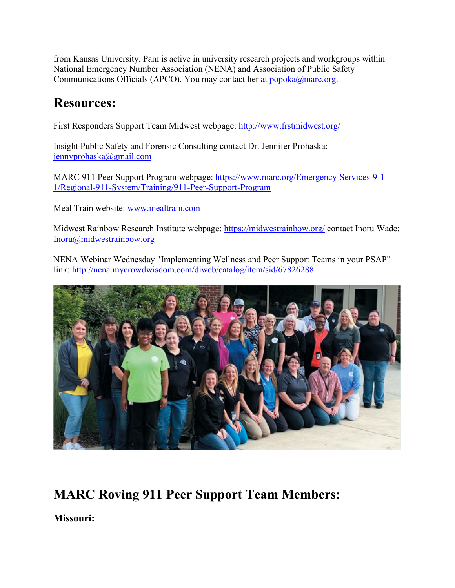from Kansas University. Pam is active in university research projects and workgroups within National Emergency Number Association (NENA) and Association of Public Safety Communications Officials (APCO). You may contact her at  $popoka@marc.org$ .

# **Resources:**

First Responders Support Team Midwest webpage:<http://www.frstmidwest.org/>

Insight Public Safety and Forensic Consulting contact Dr. Jennifer Prohaska: [jennyprohaska@gmail.com](mailto:jennyprohaska@gmail.com)

MARC 911 Peer Support Program webpage: [https://www.marc.org/Emergency-Services-9-1-](https://www.marc.org/Emergency-Services-9-1-1/Regional-911-System/Training/911-Peer-Support-Program) [1/Regional-911-System/Training/911-Peer-Support-Program](https://www.marc.org/Emergency-Services-9-1-1/Regional-911-System/Training/911-Peer-Support-Program)

Meal Train website: [www.mealtrain.com](http://www.mealtrain.com/)

Midwest Rainbow Research Institute webpage:<https://midwestrainbow.org/> contact Inoru Wade: [Inoru@midwestrainbow.org](mailto:Inoru@midwestrainbow.org)

NENA Webinar Wednesday "Implementing Wellness and Peer Support Teams in your PSAP" link:<http://nena.mycrowdwisdom.com/diweb/catalog/item/sid/67826288>



# **MARC Roving 911 Peer Support Team Members:**

**Missouri:**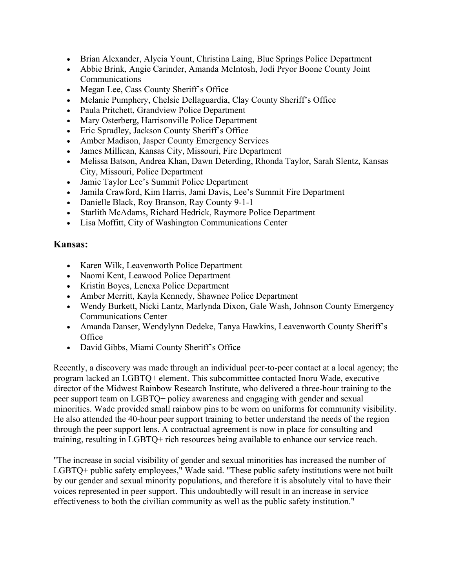- Brian Alexander, Alycia Yount, Christina Laing, Blue Springs Police Department
- Abbie Brink, Angie Carinder, Amanda McIntosh, Jodi Pryor Boone County Joint **Communications**
- Megan Lee, Cass County Sheriff's Office
- Melanie Pumphery, Chelsie Dellaguardia, Clay County Sheriff's Office
- Paula Pritchett, Grandview Police Department
- Mary Osterberg, Harrisonville Police Department
- Eric Spradley, Jackson County Sheriff's Office
- Amber Madison, Jasper County Emergency Services
- James Millican, Kansas City, Missouri, Fire Department
- Melissa Batson, Andrea Khan, Dawn Deterding, Rhonda Taylor, Sarah Slentz, Kansas City, Missouri, Police Department
- Jamie Taylor Lee's Summit Police Department
- Jamila Crawford, Kim Harris, Jami Davis, Lee's Summit Fire Department
- Danielle Black, Roy Branson, Ray County 9-1-1
- Starlith McAdams, Richard Hedrick, Raymore Police Department
- Lisa Moffitt, City of Washington Communications Center

# **Kansas:**

- Karen Wilk, Leavenworth Police Department
- Naomi Kent, Leawood Police Department
- Kristin Boyes, Lenexa Police Department
- Amber Merritt, Kayla Kennedy, Shawnee Police Department
- Wendy Burkett, Nicki Lantz, Marlynda Dixon, Gale Wash, Johnson County Emergency Communications Center
- Amanda Danser, Wendylynn Dedeke, Tanya Hawkins, Leavenworth County Sheriff's **Office**
- David Gibbs, Miami County Sheriff's Office

Recently, a discovery was made through an individual peer-to-peer contact at a local agency; the program lacked an LGBTQ+ element. This subcommittee contacted Inoru Wade, executive director of the Midwest Rainbow Research Institute, who delivered a three-hour training to the peer support team on LGBTQ+ policy awareness and engaging with gender and sexual minorities. Wade provided small rainbow pins to be worn on uniforms for community visibility. He also attended the 40-hour peer support training to better understand the needs of the region through the peer support lens. A contractual agreement is now in place for consulting and training, resulting in LGBTQ+ rich resources being available to enhance our service reach.

"The increase in social visibility of gender and sexual minorities has increased the number of LGBTQ+ public safety employees," Wade said. "These public safety institutions were not built by our gender and sexual minority populations, and therefore it is absolutely vital to have their voices represented in peer support. This undoubtedly will result in an increase in service effectiveness to both the civilian community as well as the public safety institution."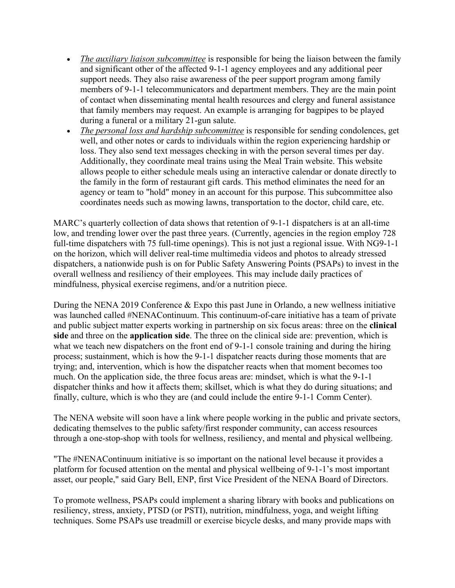- *The auxiliary liaison subcommittee* is responsible for being the liaison between the family and significant other of the affected 9-1-1 agency employees and any additional peer support needs. They also raise awareness of the peer support program among family members of 9-1-1 telecommunicators and department members. They are the main point of contact when disseminating mental health resources and clergy and funeral assistance that family members may request. An example is arranging for bagpipes to be played during a funeral or a military 21-gun salute.
- *The personal loss and hardship subcommittee* is responsible for sending condolences, get well, and other notes or cards to individuals within the region experiencing hardship or loss. They also send text messages checking in with the person several times per day. Additionally, they coordinate meal trains using the Meal Train website. This website allows people to either schedule meals using an interactive calendar or donate directly to the family in the form of restaurant gift cards. This method eliminates the need for an agency or team to "hold" money in an account for this purpose. This subcommittee also coordinates needs such as mowing lawns, transportation to the doctor, child care, etc.

MARC's quarterly collection of data shows that retention of 9-1-1 dispatchers is at an all-time low, and trending lower over the past three years. (Currently, agencies in the region employ 728 full-time dispatchers with 75 full-time openings). This is not just a regional issue. With NG9-1-1 on the horizon, which will deliver real-time multimedia videos and photos to already stressed dispatchers, a nationwide push is on for Public Safety Answering Points (PSAPs) to invest in the overall wellness and resiliency of their employees. This may include daily practices of mindfulness, physical exercise regimens, and/or a nutrition piece.

During the NENA 2019 Conference & Expo this past June in Orlando, a new wellness initiative was launched called #NENAContinuum. This continuum-of-care initiative has a team of private and public subject matter experts working in partnership on six focus areas: three on the **clinical side** and three on the **application side**. The three on the clinical side are: prevention, which is what we teach new dispatchers on the front end of 9-1-1 console training and during the hiring process; sustainment, which is how the 9-1-1 dispatcher reacts during those moments that are trying; and, intervention, which is how the dispatcher reacts when that moment becomes too much. On the application side, the three focus areas are: mindset, which is what the 9-1-1 dispatcher thinks and how it affects them; skillset, which is what they do during situations; and finally, culture, which is who they are (and could include the entire 9-1-1 Comm Center).

The NENA website will soon have a link where people working in the public and private sectors, dedicating themselves to the public safety/first responder community, can access resources through a one-stop-shop with tools for wellness, resiliency, and mental and physical wellbeing.

"The #NENAContinuum initiative is so important on the national level because it provides a platform for focused attention on the mental and physical wellbeing of 9-1-1's most important asset, our people," said Gary Bell, ENP, first Vice President of the NENA Board of Directors.

To promote wellness, PSAPs could implement a sharing library with books and publications on resiliency, stress, anxiety, PTSD (or PSTI), nutrition, mindfulness, yoga, and weight lifting techniques. Some PSAPs use treadmill or exercise bicycle desks, and many provide maps with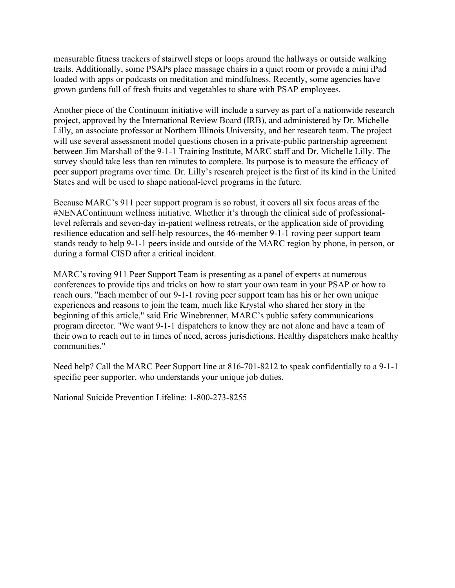measurable fitness trackers of stairwell steps or loops around the hallways or outside walking trails. Additionally, some PSAPs place massage chairs in a quiet room or provide a mini iPad loaded with apps or podcasts on meditation and mindfulness. Recently, some agencies have grown gardens full of fresh fruits and vegetables to share with PSAP employees.

Another piece of the Continuum initiative will include a survey as part of a nationwide research project, approved by the International Review Board (IRB), and administered by Dr. Michelle Lilly, an associate professor at Northern Illinois University, and her research team. The project will use several assessment model questions chosen in a private-public partnership agreement between Jim Marshall of the 9-1-1 Training Institute, MARC staff and Dr. Michelle Lilly. The survey should take less than ten minutes to complete. Its purpose is to measure the efficacy of peer support programs over time. Dr. Lilly's research project is the first of its kind in the United States and will be used to shape national-level programs in the future.

Because MARC's 911 peer support program is so robust, it covers all six focus areas of the #NENAContinuum wellness initiative. Whether it's through the clinical side of professionallevel referrals and seven-day in-patient wellness retreats, or the application side of providing resilience education and self-help resources, the 46-member 9-1-1 roving peer support team stands ready to help 9-1-1 peers inside and outside of the MARC region by phone, in person, or during a formal CISD after a critical incident.

MARC's roving 911 Peer Support Team is presenting as a panel of experts at numerous conferences to provide tips and tricks on how to start your own team in your PSAP or how to reach ours. "Each member of our 9-1-1 roving peer support team has his or her own unique experiences and reasons to join the team, much like Krystal who shared her story in the beginning of this article," said Eric Winebrenner, MARC's public safety communications program director. "We want 9-1-1 dispatchers to know they are not alone and have a team of their own to reach out to in times of need, across jurisdictions. Healthy dispatchers make healthy communities."

Need help? Call the MARC Peer Support line at 816-701-8212 to speak confidentially to a 9-1-1 specific peer supporter, who understands your unique job duties.

National Suicide Prevention Lifeline: 1-800-273-8255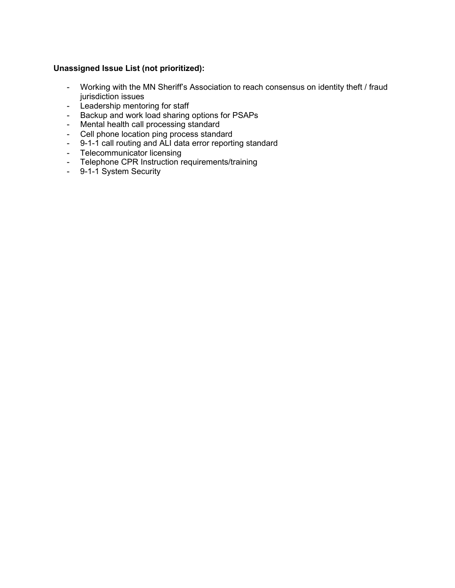# **Unassigned Issue List (not prioritized):**

- Working with the MN Sheriff's Association to reach consensus on identity theft / fraud jurisdiction issues
- Leadership mentoring for staff
- Backup and work load sharing options for PSAPs
- Mental health call processing standard
- Cell phone location ping process standard
- 9-1-1 call routing and ALI data error reporting standard
- Telecommunicator licensing
- Telephone CPR Instruction requirements/training
- 9-1-1 System Security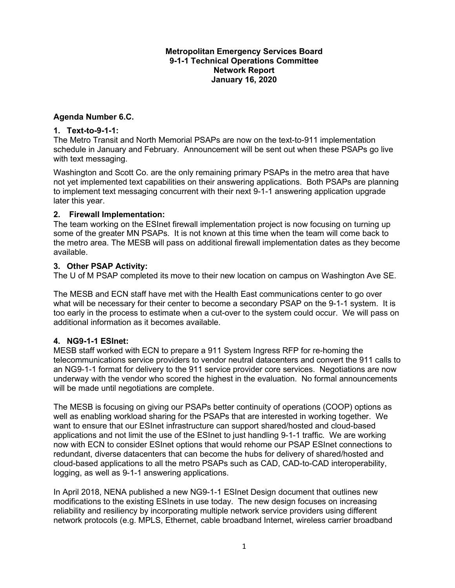#### **Metropolitan Emergency Services Board 9-1-1 Technical Operations Committee Network Report January 16, 2020**

## **Agenda Number 6.C.**

#### **1. Text-to-9-1-1:**

The Metro Transit and North Memorial PSAPs are now on the text-to-911 implementation schedule in January and February. Announcement will be sent out when these PSAPs go live with text messaging.

Washington and Scott Co. are the only remaining primary PSAPs in the metro area that have not yet implemented text capabilities on their answering applications. Both PSAPs are planning to implement text messaging concurrent with their next 9-1-1 answering application upgrade later this year.

#### **2. Firewall Implementation:**

The team working on the ESInet firewall implementation project is now focusing on turning up some of the greater MN PSAPs. It is not known at this time when the team will come back to the metro area. The MESB will pass on additional firewall implementation dates as they become available.

#### **3. Other PSAP Activity:**

The U of M PSAP completed its move to their new location on campus on Washington Ave SE.

The MESB and ECN staff have met with the Health East communications center to go over what will be necessary for their center to become a secondary PSAP on the 9-1-1 system. It is too early in the process to estimate when a cut-over to the system could occur. We will pass on additional information as it becomes available.

## **4. NG9-1-1 ESInet:**

MESB staff worked with ECN to prepare a 911 System Ingress RFP for re-homing the telecommunications service providers to vendor neutral datacenters and convert the 911 calls to an NG9-1-1 format for delivery to the 911 service provider core services. Negotiations are now underway with the vendor who scored the highest in the evaluation. No formal announcements will be made until negotiations are complete.

The MESB is focusing on giving our PSAPs better continuity of operations (COOP) options as well as enabling workload sharing for the PSAPs that are interested in working together. We want to ensure that our ESInet infrastructure can support shared/hosted and cloud-based applications and not limit the use of the ESInet to just handling 9-1-1 traffic. We are working now with ECN to consider ESInet options that would rehome our PSAP ESInet connections to redundant, diverse datacenters that can become the hubs for delivery of shared/hosted and cloud-based applications to all the metro PSAPs such as CAD, CAD-to-CAD interoperability, logging, as well as 9-1-1 answering applications.

In April 2018, NENA published a new NG9-1-1 ESInet Design document that outlines new modifications to the existing ESInets in use today. The new design focuses on increasing reliability and resiliency by incorporating multiple network service providers using different network protocols (e.g. MPLS, Ethernet, cable broadband Internet, wireless carrier broadband